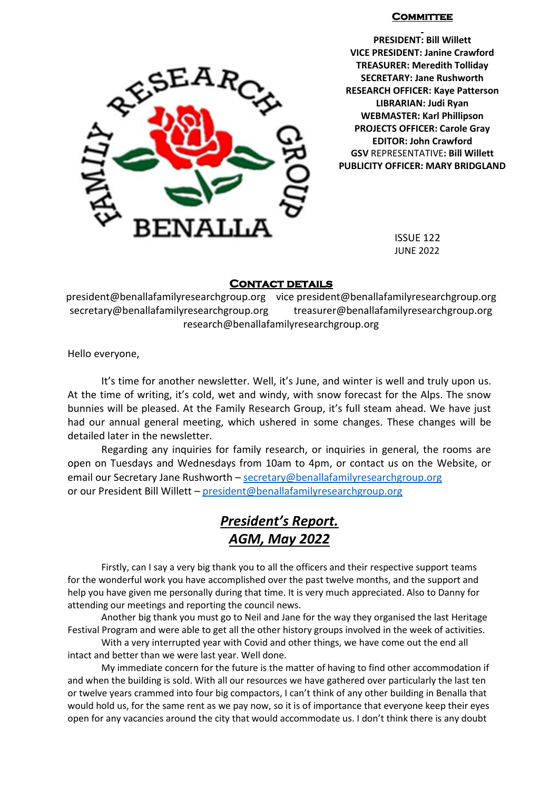#### **COMMITTEE**



**PRESIDENT: Bill Willett VICE PRESIDENT: Janine Crawford TREASURER: Meredith Tolliday SECRETARY: Jane Rushworth RESEARCH OFFICER: Kaye Patterson LIBRARIAN: Judi Ryan WEBMASTER: Karl Phillipson PROJECTS OFFICER: Carole Gray EDITOR: John Crawford GSV** REPRESENTATIVE**: Bill Willett PUBLICITY OFFICER: MARY BRIDGLAND**

JUNE 2022

#### **Contact details**

president@benallafamilyresearchgroup.org vice president@benallafamilyresearchgroup.org secretary@benallafamilyresearchgroup.org treasurer@benallafamilyresearchgroup.org research@benallafamilyresearchgroup.org

Hello everyone,

It's time for another newsletter. Well, it's June, and winter is well and truly upon us. At the time of writing, it's cold, wet and windy, with snow forecast for the Alps. The snow bunnies will be pleased. At the Family Research Group, it's full steam ahead. We have just had our annual general meeting, which ushered in some changes. These changes will be detailed later in the newsletter.

Regarding any inquiries for family research, or inquiries in general, the rooms are open on Tuesdays and Wednesdays from 10am to 4pm, or contact us on the Website, or email our Secretary Jane Rushworth – [secretary@benallafamilyresearchgroup.org](mailto:secretary@benallafamilyresearchgroup.org)  or our President Bill Willett – [president@benallafamilyresearchgroup.org](mailto:president@benallafamilyresearchgroup.org)

# *President's Report. AGM, May 2022*

Firstly, can I say a very big thank you to all the officers and their respective support teams for the wonderful work you have accomplished over the past twelve months, and the support and help you have given me personally during that time. It is very much appreciated. Also to Danny for attending our meetings and reporting the council news.

Another big thank you must go to Neil and Jane for the way they organised the last Heritage Festival Program and were able to get all the other history groups involved in the week of activities.

With a very interrupted year with Covid and other things, we have come out the end all intact and better than we were last year. Well done.

My immediate concern for the future is the matter of having to find other accommodation if and when the building is sold. With all our resources we have gathered over particularly the last ten or twelve years crammed into four big compactors, I can't think of any other building in Benalla that would hold us, for the same rent as we pay now, so it is of importance that everyone keep their eyes open for any vacancies around the city that would accommodate us. I don't think there is any doubt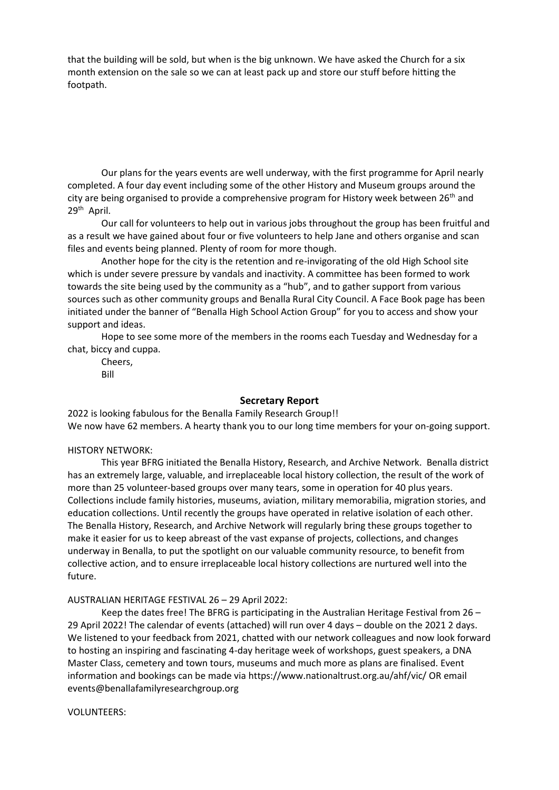that the building will be sold, but when is the big unknown. We have asked the Church for a six month extension on the sale so we can at least pack up and store our stuff before hitting the footpath.

Our plans for the years events are well underway, with the first programme for April nearly completed. A four day event including some of the other History and Museum groups around the city are being organised to provide a comprehensive program for History week between 26<sup>th</sup> and 29<sup>th</sup> April.

Our call for volunteers to help out in various jobs throughout the group has been fruitful and as a result we have gained about four or five volunteers to help Jane and others organise and scan files and events being planned. Plenty of room for more though.

Another hope for the city is the retention and re-invigorating of the old High School site which is under severe pressure by vandals and inactivity. A committee has been formed to work towards the site being used by the community as a "hub", and to gather support from various sources such as other community groups and Benalla Rural City Council. A Face Book page has been initiated under the banner of "Benalla High School Action Group" for you to access and show your support and ideas.

Hope to see some more of the members in the rooms each Tuesday and Wednesday for a chat, biccy and cuppa.

Cheers, Bill

#### **Secretary Report**

2022 is looking fabulous for the Benalla Family Research Group!! We now have 62 members. A hearty thank you to our long time members for your on-going support.

#### HISTORY NETWORK:

This year BFRG initiated the Benalla History, Research, and Archive Network. Benalla district has an extremely large, valuable, and irreplaceable local history collection, the result of the work of more than 25 volunteer-based groups over many tears, some in operation for 40 plus years. Collections include family histories, museums, aviation, military memorabilia, migration stories, and education collections. Until recently the groups have operated in relative isolation of each other. The Benalla History, Research, and Archive Network will regularly bring these groups together to make it easier for us to keep abreast of the vast expanse of projects, collections, and changes underway in Benalla, to put the spotlight on our valuable community resource, to benefit from collective action, and to ensure irreplaceable local history collections are nurtured well into the future.

#### AUSTRALIAN HERITAGE FESTIVAL 26 – 29 April 2022:

Keep the dates free! The BFRG is participating in the Australian Heritage Festival from 26 – 29 April 2022! The calendar of events (attached) will run over 4 days – double on the 2021 2 days. We listened to your feedback from 2021, chatted with our network colleagues and now look forward to hosting an inspiring and fascinating 4-day heritage week of workshops, guest speakers, a DNA Master Class, cemetery and town tours, museums and much more as plans are finalised. Event information and bookings can be made vi[a https://www.nationaltrust.org.au/ahf/vic/](https://www.nationaltrust.org.au/ahf/vic/) OR email events@benallafamilyresearchgroup.org

#### VOLUNTEERS: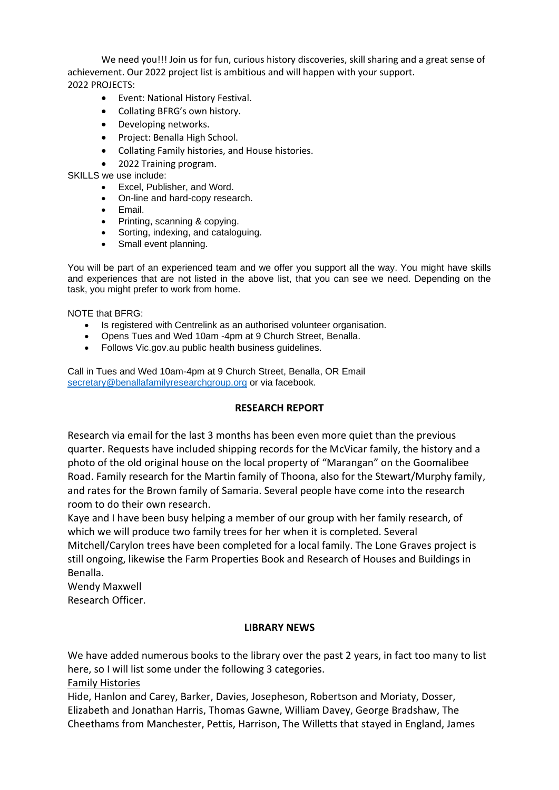We need you!!! Join us for fun, curious history discoveries, skill sharing and a great sense of achievement. Our 2022 project list is ambitious and will happen with your support. 2022 PROJECTS:

- Event: National History Festival.
- Collating BFRG's own history.
- Developing networks.
- Project: Benalla High School.
- Collating Family histories, and House histories.
- 2022 Training program.

## SKILLS we use include:

- Excel, Publisher, and Word.
- On-line and hard-copy research.
- Email.
- Printing, scanning & copying.
- Sorting, indexing, and cataloguing.
- Small event planning.

You will be part of an experienced team and we offer you support all the way. You might have skills and experiences that are not listed in the above list, that you can see we need. Depending on the task, you might prefer to work from home.

#### NOTE that BFRG:

- Is registered with Centrelink as an authorised volunteer organisation.
- Opens Tues and Wed 10am -4pm at 9 Church Street, Benalla.
- Follows Vic.gov.au public health business guidelines.

Call in Tues and Wed 10am-4pm at 9 Church Street, Benalla, OR Email [secretary@benallafamilyresearchgroup.org](mailto:secretary@benallafamilyresearchgroup.org) or via facebook.

## **RESEARCH REPORT**

Research via email for the last 3 months has been even more quiet than the previous quarter. Requests have included shipping records for the McVicar family, the history and a photo of the old original house on the local property of "Marangan" on the Goomalibee Road. Family research for the Martin family of Thoona, also for the Stewart/Murphy family, and rates for the Brown family of Samaria. Several people have come into the research room to do their own research.

Kaye and I have been busy helping a member of our group with her family research, of which we will produce two family trees for her when it is completed. Several Mitchell/Carylon trees have been completed for a local family. The Lone Graves project is still ongoing, likewise the Farm Properties Book and Research of Houses and Buildings in Benalla.

Wendy Maxwell

Research Officer.

## **LIBRARY NEWS**

We have added numerous books to the library over the past 2 years, in fact too many to list here, so I will list some under the following 3 categories.

Family Histories

Hide, Hanlon and Carey, Barker, Davies, Josepheson, Robertson and Moriaty, Dosser, Elizabeth and Jonathan Harris, Thomas Gawne, William Davey, George Bradshaw, The Cheethams from Manchester, Pettis, Harrison, The Willetts that stayed in England, James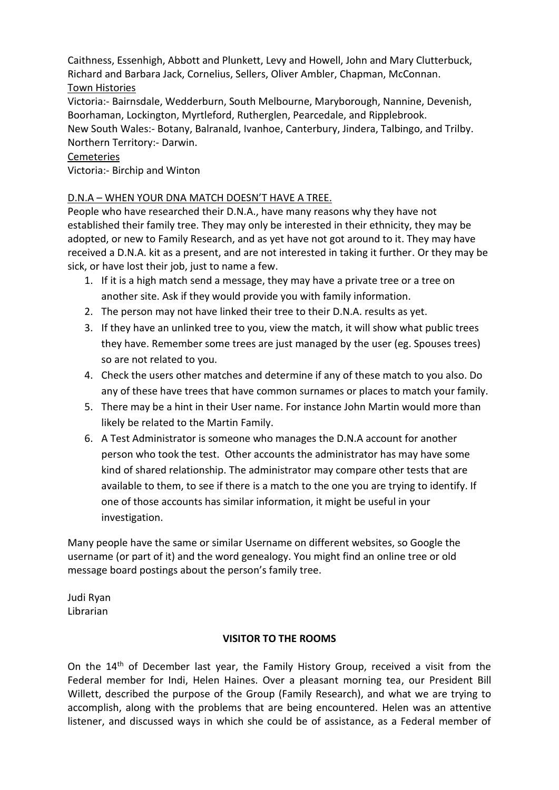Caithness, Essenhigh, Abbott and Plunkett, Levy and Howell, John and Mary Clutterbuck, Richard and Barbara Jack, Cornelius, Sellers, Oliver Ambler, Chapman, McConnan. Town Histories

Victoria:- Bairnsdale, Wedderburn, South Melbourne, Maryborough, Nannine, Devenish, Boorhaman, Lockington, Myrtleford, Rutherglen, Pearcedale, and Ripplebrook. New South Wales:- Botany, Balranald, Ivanhoe, Canterbury, Jindera, Talbingo, and Trilby. Northern Territory:- Darwin.

# Cemeteries

Victoria:- Birchip and Winton

# D.N.A – WHEN YOUR DNA MATCH DOESN'T HAVE A TREE.

People who have researched their D.N.A., have many reasons why they have not established their family tree. They may only be interested in their ethnicity, they may be adopted, or new to Family Research, and as yet have not got around to it. They may have received a D.N.A. kit as a present, and are not interested in taking it further. Or they may be sick, or have lost their job, just to name a few.

- 1. If it is a high match send a message, they may have a private tree or a tree on another site. Ask if they would provide you with family information.
- 2. The person may not have linked their tree to their D.N.A. results as yet.
- 3. If they have an unlinked tree to you, view the match, it will show what public trees they have. Remember some trees are just managed by the user (eg. Spouses trees) so are not related to you.
- 4. Check the users other matches and determine if any of these match to you also. Do any of these have trees that have common surnames or places to match your family.
- 5. There may be a hint in their User name. For instance John Martin would more than likely be related to the Martin Family.
- 6. A Test Administrator is someone who manages the D.N.A account for another person who took the test. Other accounts the administrator has may have some kind of shared relationship. The administrator may compare other tests that are available to them, to see if there is a match to the one you are trying to identify. If one of those accounts has similar information, it might be useful in your investigation.

Many people have the same or similar Username on different websites, so Google the username (or part of it) and the word genealogy. You might find an online tree or old message board postings about the person's family tree.

Judi Ryan Librarian

## **VISITOR TO THE ROOMS**

On the 14<sup>th</sup> of December last year, the Family History Group, received a visit from the Federal member for Indi, Helen Haines. Over a pleasant morning tea, our President Bill Willett, described the purpose of the Group (Family Research), and what we are trying to accomplish, along with the problems that are being encountered. Helen was an attentive listener, and discussed ways in which she could be of assistance, as a Federal member of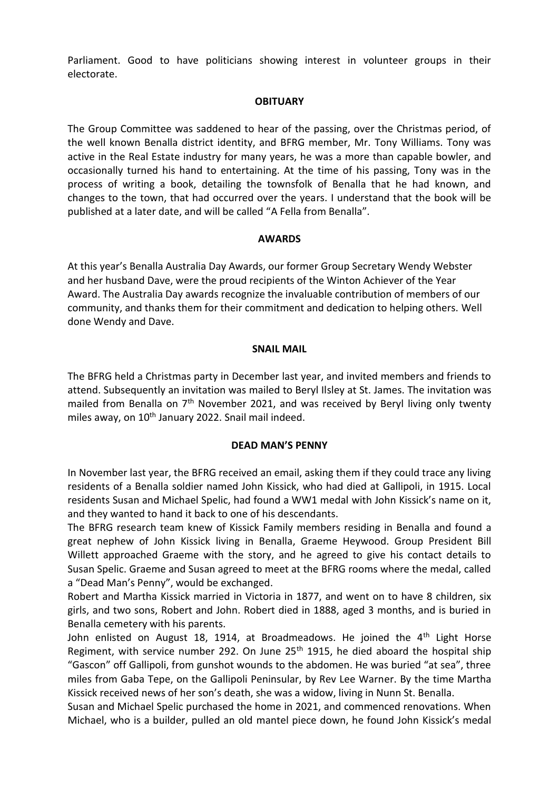Parliament. Good to have politicians showing interest in volunteer groups in their electorate.

#### **OBITUARY**

The Group Committee was saddened to hear of the passing, over the Christmas period, of the well known Benalla district identity, and BFRG member, Mr. Tony Williams. Tony was active in the Real Estate industry for many years, he was a more than capable bowler, and occasionally turned his hand to entertaining. At the time of his passing, Tony was in the process of writing a book, detailing the townsfolk of Benalla that he had known, and changes to the town, that had occurred over the years. I understand that the book will be published at a later date, and will be called "A Fella from Benalla".

## **AWARDS**

At this year's Benalla Australia Day Awards, our former Group Secretary Wendy Webster and her husband Dave, were the proud recipients of the Winton Achiever of the Year Award. The Australia Day awards recognize the invaluable contribution of members of our community, and thanks them for their commitment and dedication to helping others. Well done Wendy and Dave.

#### **SNAIL MAIL**

The BFRG held a Christmas party in December last year, and invited members and friends to attend. Subsequently an invitation was mailed to Beryl Ilsley at St. James. The invitation was mailed from Benalla on  $7<sup>th</sup>$  November 2021, and was received by Beryl living only twenty miles away, on 10<sup>th</sup> January 2022. Snail mail indeed.

## **DEAD MAN'S PENNY**

In November last year, the BFRG received an email, asking them if they could trace any living residents of a Benalla soldier named John Kissick, who had died at Gallipoli, in 1915. Local residents Susan and Michael Spelic, had found a WW1 medal with John Kissick's name on it, and they wanted to hand it back to one of his descendants.

The BFRG research team knew of Kissick Family members residing in Benalla and found a great nephew of John Kissick living in Benalla, Graeme Heywood. Group President Bill Willett approached Graeme with the story, and he agreed to give his contact details to Susan Spelic. Graeme and Susan agreed to meet at the BFRG rooms where the medal, called a "Dead Man's Penny", would be exchanged.

Robert and Martha Kissick married in Victoria in 1877, and went on to have 8 children, six girls, and two sons, Robert and John. Robert died in 1888, aged 3 months, and is buried in Benalla cemetery with his parents.

John enlisted on August 18, 1914, at Broadmeadows. He joined the  $4<sup>th</sup>$  Light Horse Regiment, with service number 292. On June 25<sup>th</sup> 1915, he died aboard the hospital ship "Gascon" off Gallipoli, from gunshot wounds to the abdomen. He was buried "at sea", three miles from Gaba Tepe, on the Gallipoli Peninsular, by Rev Lee Warner. By the time Martha Kissick received news of her son's death, she was a widow, living in Nunn St. Benalla.

Susan and Michael Spelic purchased the home in 2021, and commenced renovations. When Michael, who is a builder, pulled an old mantel piece down, he found John Kissick's medal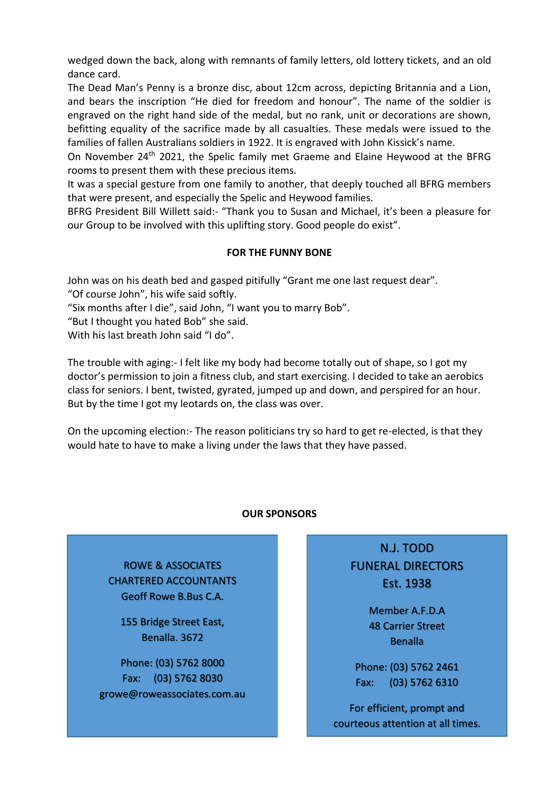wedged down the back, along with remnants of family letters, old lottery tickets, and an old dance card.

The Dead Man's Penny is a bronze disc, about 12cm across, depicting Britannia and a Lion, and bears the inscription "He died for freedom and honour". The name of the soldier is engraved on the right hand side of the medal, but no rank, unit or decorations are shown, befitting equality of the sacrifice made by all casualties. These medals were issued to the families of fallen Australians soldiers in 1922. It is engraved with John Kissick's name.

On November 24th 2021, the Spelic family met Graeme and Elaine Heywood at the BFRG rooms to present them with these precious items.

It was a special gesture from one family to another, that deeply touched all BFRG members that were present, and especially the Spelic and Heywood families.

BFRG President Bill Willett said:- "Thank you to Susan and Michael, it's been a pleasure for our Group to be involved with this uplifting story. Good people do exist".

# **FOR THE FUNNY BONE**

John was on his death bed and gasped pitifully "Grant me one last request dear".

"Of course John", his wife said softly.

"Six months after I die", said John, "I want you to marry Bob".

"But I thought you hated Bob" she said.

With his last breath John said "I do".

The trouble with aging:- I felt like my body had become totally out of shape, so I got my doctor's permission to join a fitness club, and start exercising. I decided to take an aerobics class for seniors. I bent, twisted, gyrated, jumped up and down, and perspired for an hour. But by the time I got my leotards on, the class was over.

On the upcoming election:- The reason politicians try so hard to get re-elected, is that they would hate to have to make a living under the laws that they have passed.

## **OUR SPONSORS**

**Benalla. 3672**

**Phone: (03) 5762 8000**

ROWE & ASSOCIATES CHARTERED ACCOUNTANTS Geoff Rowe B.Bus C.A.

> **ROWE & ASSOCIATES** 155 Bridge Street East, Benalla. 3672

**CHARTER Geoff Rowe B.Bus C.A. 155 Bridge Street East,** growe@roweassociates.com.au Phone: (03) 5762 8000 Fax: (03) 5762 8030

N.J. TODD FUNERAL DIRECTORS Est. 1938

> Member A.F.D.A 48 Carrier Street **Benalla**

Phone: (03) 5762 2461 Fax: (03) 5762 6310

For efficient, prompt and courteous attention at all times.

njtodd ar y ddiwyddiadau ar y ddiwyddiadau ar y ddiwyddiadau ar y ddiwyddiadau ar y ddiwyddiadau ar y ddiwyddi<br>Ar y ddiwyddiadau ar y ddiwyddiadau ar y ddiwyddiadau ar y ddiwyddiadau ar y ddiwyddiadau ar y ddiwyddiadau ar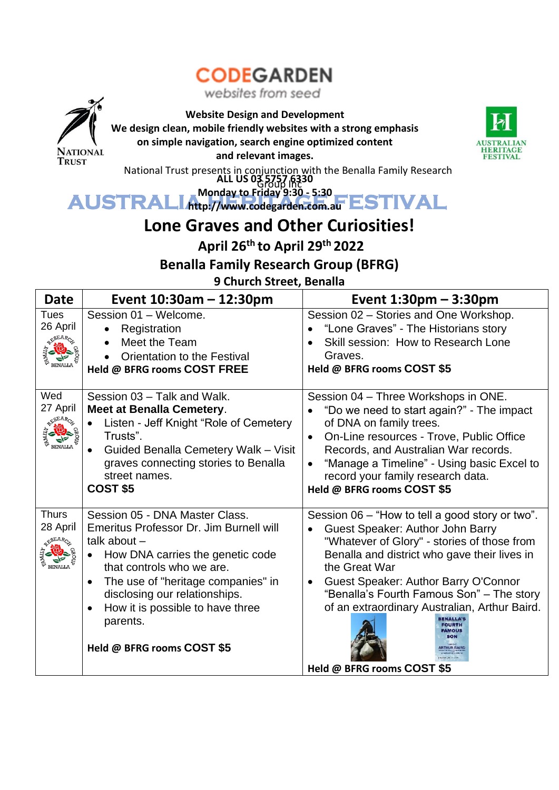# **CODEGARDEN**

websites from seed



**Website Design and Development**

**We design clean, mobile friendly websites with a strong emphasis**

**on simple navigation, search engine optimized content**



**and relevant images.**

National Trust presents in conjunction with the Benalla Family Research Group Inc **ALL US 03 5757 6330**

AUSTRALIA Monday to Friday 9:30 - 5:30<br>AUSTRALIA HTtp://www.codegarden.com.au ESTIVAL **Monday to Friday 9:30 - 5:30 http://www.codegarden.com.au**

# **Lone Graves and Other Curiosities!**

**April 26th to April 29th 2022**

**Benalla Family Research Group (BFRG)**

**9 Church Street, Benalla**

| <b>Date</b>                                | Event $10:30$ am – 12:30pm                                                                                                                                                                                                                                                                                                                  | Event $1:30$ pm $-3:30$ pm                                                                                                                                                                                                                                                                                                                                                              |
|--------------------------------------------|---------------------------------------------------------------------------------------------------------------------------------------------------------------------------------------------------------------------------------------------------------------------------------------------------------------------------------------------|-----------------------------------------------------------------------------------------------------------------------------------------------------------------------------------------------------------------------------------------------------------------------------------------------------------------------------------------------------------------------------------------|
| <b>Tues</b>                                | Session 01 - Welcome.                                                                                                                                                                                                                                                                                                                       | Session 02 - Stories and One Workshop.                                                                                                                                                                                                                                                                                                                                                  |
| 26 April                                   | Registration<br>$\bullet$                                                                                                                                                                                                                                                                                                                   | "Lone Graves" - The Historians story                                                                                                                                                                                                                                                                                                                                                    |
|                                            | Meet the Team                                                                                                                                                                                                                                                                                                                               | Skill session: How to Research Lone                                                                                                                                                                                                                                                                                                                                                     |
|                                            | Orientation to the Festival                                                                                                                                                                                                                                                                                                                 | Graves.                                                                                                                                                                                                                                                                                                                                                                                 |
| <b>BENALLA</b>                             | Held @ BFRG rooms COST FREE                                                                                                                                                                                                                                                                                                                 | Held @ BFRG rooms COST \$5                                                                                                                                                                                                                                                                                                                                                              |
| Wed<br>27 April<br><b>BENALLA</b>          | Session 03 - Talk and Walk.<br><b>Meet at Benalla Cemetery.</b><br>Listen - Jeff Knight "Role of Cemetery<br>Trusts".<br>Guided Benalla Cemetery Walk - Visit<br>graves connecting stories to Benalla<br>street names.<br>COST <sub>\$5</sub>                                                                                               | Session 04 - Three Workshops in ONE.<br>"Do we need to start again?" - The impact<br>of DNA on family trees.<br>On-Line resources - Trove, Public Office<br>Records, and Australian War records.<br>"Manage a Timeline" - Using basic Excel to<br>record your family research data.<br>Held @ BFRG rooms COST \$5                                                                       |
| <b>Thurs</b><br>28 April<br><b>BENALLA</b> | Session 05 - DNA Master Class.<br>Emeritus Professor Dr. Jim Burnell will<br>talk about $-$<br>How DNA carries the genetic code<br>that controls who we are.<br>The use of "heritage companies" in<br>$\bullet$<br>disclosing our relationships.<br>How it is possible to have three<br>$\bullet$<br>parents.<br>Held @ BFRG rooms COST \$5 | Session 06 - "How to tell a good story or two".<br>Guest Speaker: Author John Barry<br>"Whatever of Glory" - stories of those from<br>Benalla and district who gave their lives in<br>the Great War<br>Guest Speaker: Author Barry O'Connor<br>"Benalla's Fourth Famous Son" - The story<br>of an extraordinary Australian, Arthur Baird.<br><b>AMOUS</b><br>Held @ BFRG rooms COST \$5 |